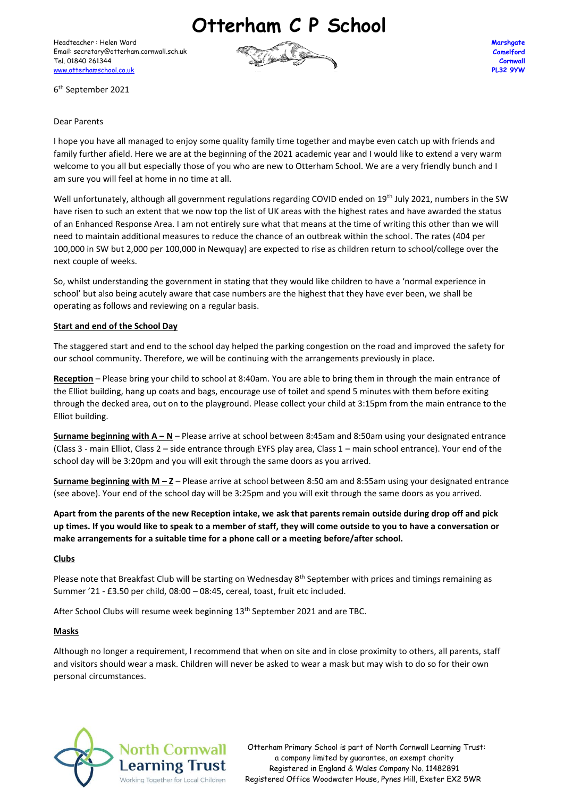Headteacher : Helen Ward Email: secretary@otterham.cornwall.sch.uk Tel. 01840 261344 [www.otterhamschool.co.uk](http://www.otterhamschool.co.uk/)



**Otterham C P School**

6 th September 2021

#### Dear Parents

I hope you have all managed to enjoy some quality family time together and maybe even catch up with friends and family further afield. Here we are at the beginning of the 2021 academic year and I would like to extend a very warm welcome to you all but especially those of you who are new to Otterham School. We are a very friendly bunch and I am sure you will feel at home in no time at all.

Well unfortunately, although all government regulations regarding COVID ended on 19<sup>th</sup> July 2021, numbers in the SW have risen to such an extent that we now top the list of UK areas with the highest rates and have awarded the status of an Enhanced Response Area. I am not entirely sure what that means at the time of writing this other than we will need to maintain additional measures to reduce the chance of an outbreak within the school. The rates (404 per 100,000 in SW but 2,000 per 100,000 in Newquay) are expected to rise as children return to school/college over the next couple of weeks.

So, whilst understanding the government in stating that they would like children to have a 'normal experience in school' but also being acutely aware that case numbers are the highest that they have ever been, we shall be operating as follows and reviewing on a regular basis.

#### **Start and end of the School Day**

The staggered start and end to the school day helped the parking congestion on the road and improved the safety for our school community. Therefore, we will be continuing with the arrangements previously in place.

**Reception** – Please bring your child to school at 8:40am. You are able to bring them in through the main entrance of the Elliot building, hang up coats and bags, encourage use of toilet and spend 5 minutes with them before exiting through the decked area, out on to the playground. Please collect your child at 3:15pm from the main entrance to the Elliot building.

**Surname beginning with A – N** – Please arrive at school between 8:45am and 8:50am using your designated entrance (Class 3 - main Elliot, Class 2 – side entrance through EYFS play area, Class 1 – main school entrance). Your end of the school day will be 3:20pm and you will exit through the same doors as you arrived.

**Surname beginning with M – Z** – Please arrive at school between 8:50 am and 8:55am using your designated entrance (see above). Your end of the school day will be 3:25pm and you will exit through the same doors as you arrived.

**Apart from the parents of the new Reception intake, we ask that parents remain outside during drop off and pick up times. If you would like to speak to a member of staff, they will come outside to you to have a conversation or make arrangements for a suitable time for a phone call or a meeting before/after school.**

## **Clubs**

Please note that Breakfast Club will be starting on Wednesday 8<sup>th</sup> September with prices and timings remaining as Summer '21 - £3.50 per child, 08:00 – 08:45, cereal, toast, fruit etc included.

After School Clubs will resume week beginning 13<sup>th</sup> September 2021 and are TBC.

#### **Masks**

Although no longer a requirement, I recommend that when on site and in close proximity to others, all parents, staff and visitors should wear a mask. Children will never be asked to wear a mask but may wish to do so for their own personal circumstances.



North Cornwall Otterham Primary School is part of North Cornwall Learning Trust: a company limited by guarantee, an exempt charity Registered in England & Wales Company No. 11482891 Registered Office Woodwater House, Pynes Hill, Exeter EX2 5WR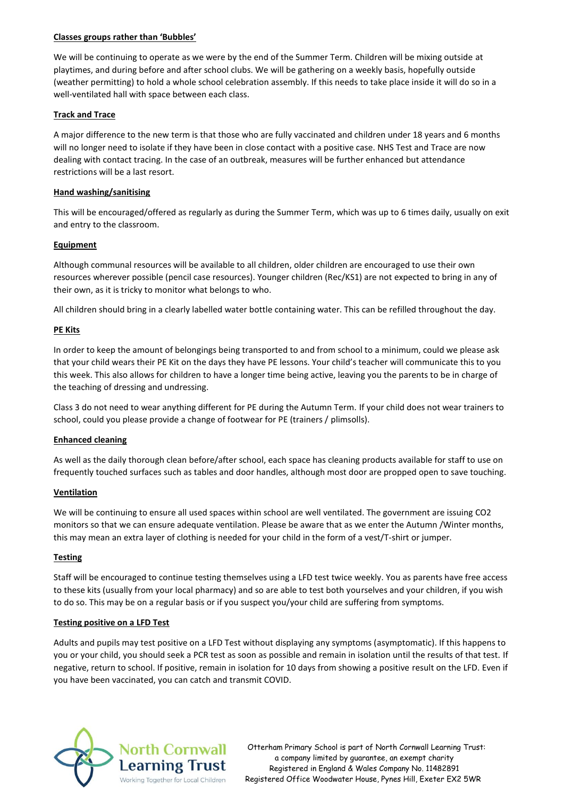## **Classes groups rather than 'Bubbles'**

We will be continuing to operate as we were by the end of the Summer Term. Children will be mixing outside at playtimes, and during before and after school clubs. We will be gathering on a weekly basis, hopefully outside (weather permitting) to hold a whole school celebration assembly. If this needs to take place inside it will do so in a well-ventilated hall with space between each class.

## **Track and Trace**

A major difference to the new term is that those who are fully vaccinated and children under 18 years and 6 months will no longer need to isolate if they have been in close contact with a positive case. NHS Test and Trace are now dealing with contact tracing. In the case of an outbreak, measures will be further enhanced but attendance restrictions will be a last resort.

## **Hand washing/sanitising**

This will be encouraged/offered as regularly as during the Summer Term, which was up to 6 times daily, usually on exit and entry to the classroom.

## **Equipment**

Although communal resources will be available to all children, older children are encouraged to use their own resources wherever possible (pencil case resources). Younger children (Rec/KS1) are not expected to bring in any of their own, as it is tricky to monitor what belongs to who.

All children should bring in a clearly labelled water bottle containing water. This can be refilled throughout the day.

## **PE Kits**

In order to keep the amount of belongings being transported to and from school to a minimum, could we please ask that your child wears their PE Kit on the days they have PE lessons. Your child's teacher will communicate this to you this week. This also allows for children to have a longer time being active, leaving you the parents to be in charge of the teaching of dressing and undressing.

Class 3 do not need to wear anything different for PE during the Autumn Term. If your child does not wear trainers to school, could you please provide a change of footwear for PE (trainers / plimsolls).

# **Enhanced cleaning**

As well as the daily thorough clean before/after school, each space has cleaning products available for staff to use on frequently touched surfaces such as tables and door handles, although most door are propped open to save touching.

# **Ventilation**

We will be continuing to ensure all used spaces within school are well ventilated. The government are issuing CO2 monitors so that we can ensure adequate ventilation. Please be aware that as we enter the Autumn /Winter months, this may mean an extra layer of clothing is needed for your child in the form of a vest/T-shirt or jumper.

## **Testing**

Staff will be encouraged to continue testing themselves using a LFD test twice weekly. You as parents have free access to these kits (usually from your local pharmacy) and so are able to test both yourselves and your children, if you wish to do so. This may be on a regular basis or if you suspect you/your child are suffering from symptoms.

## **Testing positive on a LFD Test**

Adults and pupils may test positive on a LFD Test without displaying any symptoms (asymptomatic). If this happens to you or your child, you should seek a PCR test as soon as possible and remain in isolation until the results of that test. If negative, return to school. If positive, remain in isolation for 10 days from showing a positive result on the LFD. Even if you have been vaccinated, you can catch and transmit COVID.



North Cornwall Otterham Primary School is part of North Cornwall Learning Trust: a company limited by guarantee, an exempt charity Registered in England & Wales Company No. 11482891 Registered Office Woodwater House, Pynes Hill, Exeter EX2 5WR